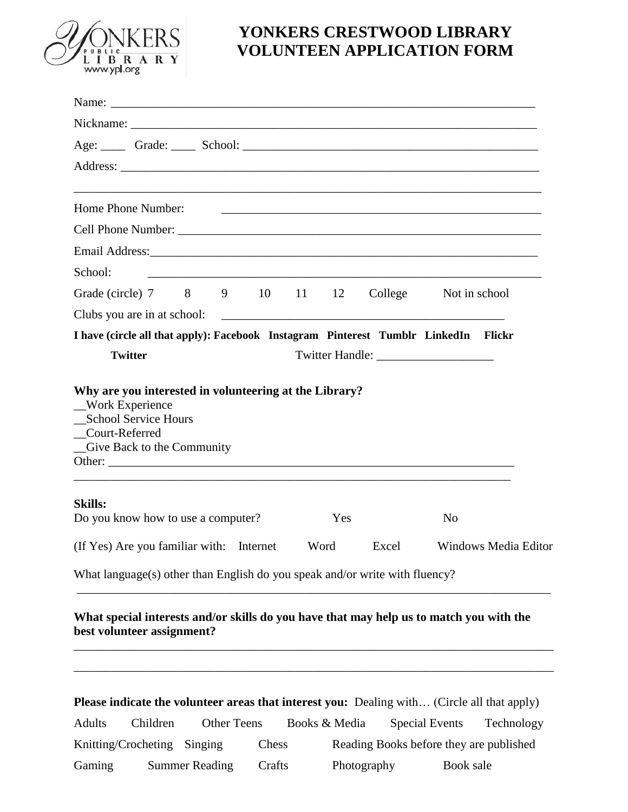

## **YONKERS CRESTWOOD LIBRARY VOLUNTEEN APPLICATION FORM**

| Age: Crade: Crade: School: Communication of the School: Communication of the School: Communication of the School: Communication of the School: Communication of the School: Communication of the School: Communication of the |        |               |             |                                                                                                                      |  |
|-------------------------------------------------------------------------------------------------------------------------------------------------------------------------------------------------------------------------------|--------|---------------|-------------|----------------------------------------------------------------------------------------------------------------------|--|
|                                                                                                                                                                                                                               |        |               |             |                                                                                                                      |  |
| ,我们也不能在这里,我们也不能在这里,我们也不能会在这里,我们也不能会在这里,我们也不能会在这里,我们也不能会在这里,我们也不能会在这里,我们也不能会不能会在这里<br>Home Phone Number:                                                                                                                       |        |               |             | <u> 1989 - Jan James James James James James James James James James James James James James James James James J</u> |  |
|                                                                                                                                                                                                                               |        |               |             |                                                                                                                      |  |
|                                                                                                                                                                                                                               |        |               |             |                                                                                                                      |  |
| School:                                                                                                                                                                                                                       |        |               |             |                                                                                                                      |  |
| Grade (circle) 7 8 9 10 11 12                                                                                                                                                                                                 |        |               |             | College Not in school                                                                                                |  |
|                                                                                                                                                                                                                               |        |               |             |                                                                                                                      |  |
| I have (circle all that apply): Facebook Instagram Pinterest Tumblr LinkedIn Flickr                                                                                                                                           |        |               |             |                                                                                                                      |  |
| <b>Twitter</b>                                                                                                                                                                                                                |        |               |             |                                                                                                                      |  |
| Court-Referred<br>Give Back to the Community<br>Other:<br><b>Skills:</b>                                                                                                                                                      |        |               |             |                                                                                                                      |  |
| Do you know how to use a computer?                                                                                                                                                                                            |        | Yes           |             | N <sub>0</sub>                                                                                                       |  |
| (If Yes) Are you familiar with: Internet                                                                                                                                                                                      |        | Word          | Excel       | Windows Media Editor                                                                                                 |  |
| What language(s) other than English do you speak and/or write with fluency?                                                                                                                                                   |        |               |             |                                                                                                                      |  |
| What special interests and/or skills do you have that may help us to match you with the<br>best volunteer assignment?                                                                                                         |        |               |             |                                                                                                                      |  |
| <b>Please indicate the volunteer areas that interest you:</b> Dealing with (Circle all that apply)<br><b>Other Teens</b><br><b>Adults</b><br>Children                                                                         |        | Books & Media |             | <b>Special Events</b><br>Technology                                                                                  |  |
| Knitting/Crocheting<br>Singing                                                                                                                                                                                                | Chess  |               |             | Reading Books before they are published                                                                              |  |
| Gaming<br><b>Summer Reading</b>                                                                                                                                                                                               | Crafts |               | Photography | Book sale                                                                                                            |  |